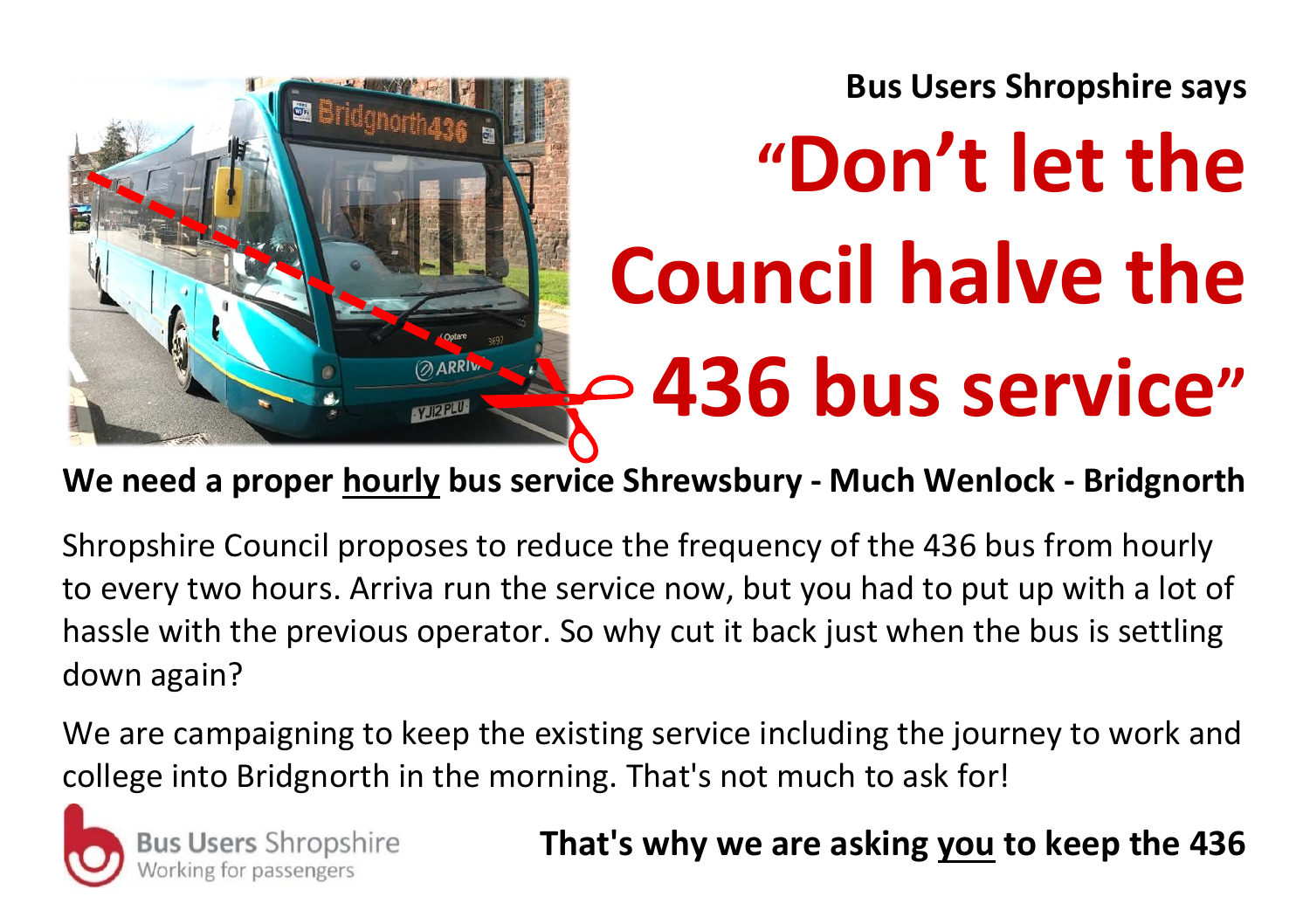**Bus Users Shropshire says**



## **"Don't let the Council halve the 436 bus service"**

**We need a proper hourly bus service Shrewsbury - Much Wenlock - Bridgnorth**

Shropshire Council proposes to reduce the frequency of the 436 bus from hourly to every two hours. Arriva run the service now, but you had to put up with a lot of hassle with the previous operator. So why cut it back just when the bus is settling down again?

We are campaigning to keep the existing service including the journey to work and college into Bridgnorth in the morning. That's not much to ask for!



**Users Shropshire** 

## **That's why we are asking you to keep the 436**